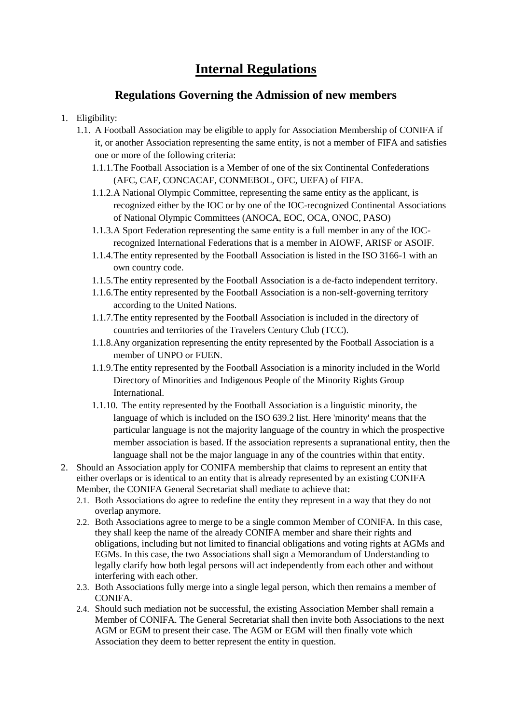## **Internal Regulations**

## **Regulations Governing the Admission of new members**

- 1. Eligibility:
	- 1.1. A Football Association may be eligible to apply for Association Membership of CONIFA if it, or another Association representing the same entity, is not a member of FIFA and satisfies one or more of the following criteria:
		- 1.1.1.The Football Association is a Member of one of the six Continental Confederations (AFC, CAF, CONCACAF, CONMEBOL, OFC, UEFA) of FIFA.
		- 1.1.2.A National Olympic Committee, representing the same entity as the applicant, is recognized either by the IOC or by one of the IOC-recognized Continental Associations of National Olympic Committees (ANOCA, EOC, OCA, ONOC, PASO)
		- 1.1.3.A Sport Federation representing the same entity is a full member in any of the IOCrecognized International Federations that is a member in AIOWF, ARISF or ASOIF.
		- 1.1.4.The entity represented by the Football Association is listed in the ISO 3166-1 with an own country code.
		- 1.1.5.The entity represented by the Football Association is a de-facto independent territory.
		- 1.1.6.The entity represented by the Football Association is a non-self-governing territory according to the United Nations.
		- 1.1.7.The entity represented by the Football Association is included in the directory of countries and territories of the Travelers Century Club (TCC).
		- 1.1.8.Any organization representing the entity represented by the Football Association is a member of UNPO or FUEN.
		- 1.1.9.The entity represented by the Football Association is a minority included in the World Directory of Minorities and Indigenous People of the Minority Rights Group International.
		- 1.1.10. The entity represented by the Football Association is a linguistic minority, the language of which is included on the ISO 639.2 list. Here 'minority' means that the particular language is not the majority language of the country in which the prospective member association is based. If the association represents a supranational entity, then the language shall not be the major language in any of the countries within that entity.
- 2. Should an Association apply for CONIFA membership that claims to represent an entity that either overlaps or is identical to an entity that is already represented by an existing CONIFA Member, the CONIFA General Secretariat shall mediate to achieve that:
	- 2.1. Both Associations do agree to redefine the entity they represent in a way that they do not overlap anymore.
	- 2.2. Both Associations agree to merge to be a single common Member of CONIFA. In this case, they shall keep the name of the already CONIFA member and share their rights and obligations, including but not limited to financial obligations and voting rights at AGMs and EGMs. In this case, the two Associations shall sign a Memorandum of Understanding to legally clarify how both legal persons will act independently from each other and without interfering with each other.
	- 2.3. Both Associations fully merge into a single legal person, which then remains a member of CONIFA.
	- 2.4. Should such mediation not be successful, the existing Association Member shall remain a Member of CONIFA. The General Secretariat shall then invite both Associations to the next AGM or EGM to present their case. The AGM or EGM will then finally vote which Association they deem to better represent the entity in question.